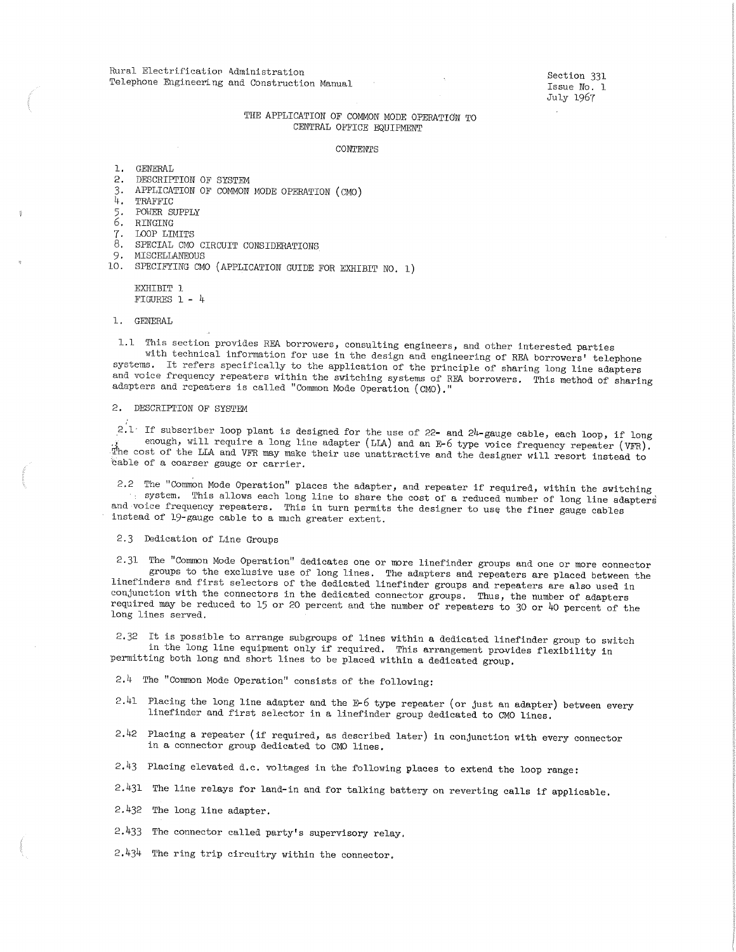Rural Electrification Administration Telephone Engineering and Construction Manual

Section 331 Issue No. 1 July 1967

## THE APPLICATION OF COMMON MODE OPERATION TO CENTRAL OFFICE EQUIPMENT

#### CONTENTS

1. GENERAL

- 2. DESCRIPTION OF SYSTEM
- 3, APPLICATION OF COMMON MODE OPERATION (CMO)
- 4. TRAFFIC
- 5 . POWER SUPPLY
- 6. RINGING
- 7. LOOP LIMITS
- 8. SPECIAL CMO CIRCUIT CONSIDERATIONS
- 9, MISCELLANEOUS
- 10. SPECIFYING CMO (APPLICATION GUIDE FOR EXHIBIT NO. 1)

EXHIBIT 1 FIGURES 1 - 4

#### 1. GENERAL

1.1 This section provides REA borrowers, consulting engineers, and other interested parties with technical information for use in the design and engineering of REA borrowers' telephone systems. It refers specifically to the application of the principle of sharing long line adapters and voice frequency repeaters within the switching systems of REA borrowers. This method of sharing adapters and repeaters is called "Common Mode Operation ( CMO)."

### 2. DESCRIPTION OF SYSTEM

 $2.1$ . If subscriber loop plant is designed for the use of 22- and 24-gauge cable, each loop, if long enough, will require a long line adapter (LLA) and an *E-6* type voice frequency repeater (VFR). The cost of the LLA and VFR may make their use unattractive and the designer will resort instead to cable of a coarser gauge or carrier.

2.2 The "Common Mode Operation" places the adapter, and repeater if required, within the switching system. This allows each long line to share the cost of a reduced number of long line adapters and voice frequency repeaters. This in turn permits the designer to use the finer gauge cables instead of 19-gauge cable to a much greater extent.

#### 2,3 Dedication of Line Groups

2.31 The "Common Mode Operation" dedicates one or more linefinder groups and one or more connector groups to the exclusive use of long lines. The adapters and repeaters are placed between the linefinders and first selectors of the dedicated linefinder groups and repeaters are also used in conjunction with the connectors in the dedicated connector groups. Thus, the number of adapters required may be reduced to 15 or 20 percent and the number of repeaters to 30 or 40 percent of the long lines served.

2,32 It is possible to arrange subgroups of lines within a dedicated linefinder group to switch in the long line equipment only if required. This arrangement provides flexibility in permitting both long and short lines to be placed within a dedicated group.

 $2.4$  The "Common Mode Operation" consists of the following:

- 2.41. Placing the long line adapter and the *E-6* type repeater (or just an adapter) between every linefinder and first selector in a linefinder group dedicated to CMO lines.
- 2.42 Placing a repeater (if required, as described later) in conjunction with every connector in a connector group dedicated to CMO lines.
- 2.43 Placing elevated d.c. voltages in the following places to extend the loop range:
- 2,431 The line relays for land-in and for talking battery on reverting calls if applicable.
- 2.432 The long line adapter.
- 2.433 The connector called party's supervisory relay.
- 2,434 The ring trip circuitry within the connector.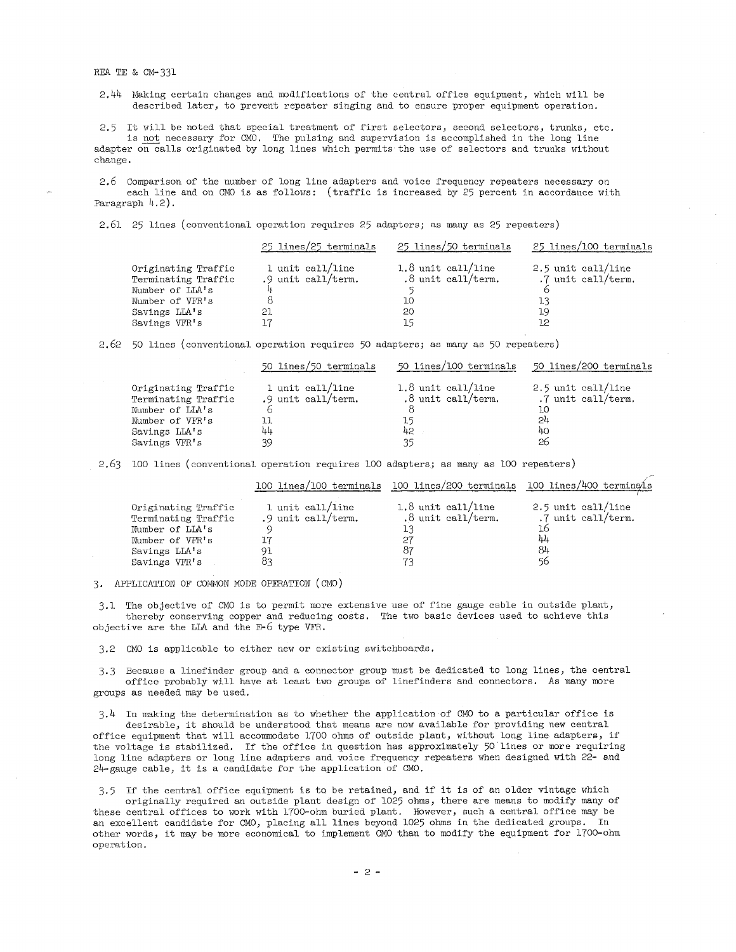2.44 Making certain changes and modifications of' the central office equipment, which will be described later, to prevent repeater singing and to ensure proper equipment operation.

2.5 It will be noted that special treatment of first selectors, second selectors, trunks, etc. is not necessary for CMO. The pulsing and supervision is accomplished in the long line adapter on calls originated by long lines which permits the use of' selectors and trunks without change.

2. 6 Comparison of' the number of' long line adapters and voice frequency repeaters necessary on each line and on CMO is as follows: (traffic is increased by 25 percent in accordance with Paragraph  $4.2$ ).

2.61 25 lines (conventional operation requires 25 adapters; as many as 25 repeaters)

|                                                                                                                    | 25 lines/25 terminals                              | 25 lines/50 terminals                                          | 25 lines/100 terminals                                     |
|--------------------------------------------------------------------------------------------------------------------|----------------------------------------------------|----------------------------------------------------------------|------------------------------------------------------------|
| Originating Traffic<br>Terminating Traffic<br>Number of LLA's<br>Number of VFR's<br>Savings LLA's<br>Savings VFR's | 1 unit call/line<br>.9 unit call/term.<br>21<br>17 | $1.8$ unit call/line<br>$.8$ unit call/term.<br>10<br>20<br>15 | 2.5 unit call/line<br>.7 unit call/term.<br>lЗ<br>19<br>12 |

2.62 50 lines (conventional operation requires 50 adapters; as many as 50 repeaters)

|                                            | 50 lines/50 terminals                  | 50 lines/100 terminals                       | 50 lines/200 terminals                   |
|--------------------------------------------|----------------------------------------|----------------------------------------------|------------------------------------------|
| Originating Traffic<br>Terminating Traffic | 1 unit call/line<br>.9 unit call/term. | $1.8$ unit call/line<br>$.8$ unit call/term. | 2.5 unit call/line<br>.7 unit call/term. |
| Number of LLA's                            |                                        |                                              | 10                                       |
| Number of VFR's                            |                                        | 15                                           | 24                                       |
| Savings LIA's                              | 44                                     | 42                                           | 40                                       |
| Savings VFR's                              | 39                                     | 35                                           | 26                                       |

2.63 100 lines (conventional operation requires 100 adapters; as many as 100 repeaters)

|                                                                                                                    |                                              | 100 lines/100 terminals 100 lines/200 terminals 100 lines/400 terminals |                                                                  |
|--------------------------------------------------------------------------------------------------------------------|----------------------------------------------|-------------------------------------------------------------------------|------------------------------------------------------------------|
| Originating Traffic<br>Terminating Traffic<br>Number of LLA's<br>Number of VFR's<br>Savings LLA's<br>Savings VFR's | 1 unit call/line<br>.9 unit call/term.<br>91 | $1.8$ unit call/line<br>.8 unit call/term.<br>13<br>87                  | 2.5 unit call/line<br>.7 unit call/term.<br>16<br>44<br>84<br>56 |
|                                                                                                                    |                                              |                                                                         |                                                                  |

3. APPLICATION OF COMMON MODE OPERATION ( CMO)

3,1 The objective of' CMO is to permit more extensive use of' fine gauge cable in outside plant, thereby conserving copper and reducing costs, The two basic devices used to achieve this objective are the LLA and the *E-6* type VFR.

3,2 CMO is applicable to either new or existing switchboards,

3,3 Because a linef'inder group and a connector group must be dedicated to long lines, the central office probably will have at least two groups of linefinders and connectors. As many more groups as needed may be used,

3. 4 In making the determination as to whether the application of' CMO to a particular office is

desirable, it should be understood that means are now available for providing new central office equipment that will accommodate 1700 ohms of outside plant, without long line adapters, if the voltage is stabilized. If the office in question has approximately 50 lines or more requiring long line adapters or long line adapters and voice frequency repeaters when designed with 22- and 24-gauge cable, it is a candidate for the application of' CMO.

3.5 If the central office equipment is to be retained, and if it is of an older vintage which originally required an outside plant design of' 1025 ohms, there are means to modify many of' these central offices to work with 1700-ohm buried plant. However, such a central office may be an excellent candidate for CMO, placing all lines beyond 1025 ohms in the dedicated groups. In other words, it may be more economical to implement CMO than to modify the equipment for 1700-ohm operation,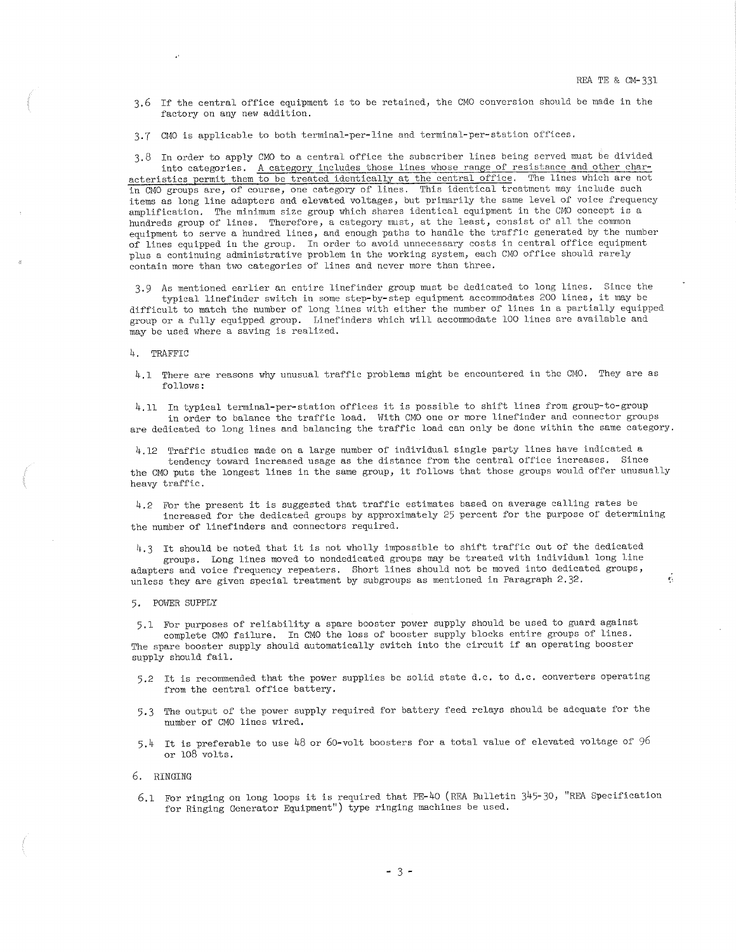3,6 If the central office equipment is to be retained, the CMO conversion should be made in the factory on any new addition.

3.7 CMO is applicable to both terminal-per-line and terminal-per-station offices,

3.8 In order to apply CMO to a central office the subscriber lines being served must be divided into categories. A category includes those lines whose range of resistance and other characteristics permit them to be treated identically at the central office, The lines which are not in CMO groups are, of course, one category of lines. This identical treatment may include such items as long line adapters and elevated voltages, but primarily the same level of voice frequency amplification. The minimum size group which shares identical equipment in the CMO concept is a hundreds group of lines. Therefore, a category must, at the least, consist of all the common equipment to serve a hundred lines, and enough paths to handle the traffic generated by the number of lines equipped in the group. In order to avoid unnecessary costs in central office equipment <sup>p</sup>lus a continuing administrative problem in the working system, each CMO office should rarely contain more than two categories of lines and never more than three.

3.9 As mentioned earlier an entire linefinder group must be dedicated to long lines. Since the typical linefinder switch in some step-by-step equipment accommodates 200 lines, it may be difficult to match the number of long lines with either the number of lines in a partially equipped group or a fully equipped group. Linefinders which will accommodate 100 lines are available and may be used where a saving is realized.

#### 4. TRAFFIC

4.1 There are reasons why unusual traffic problems might be encountered in the CMO. They are as follows:

4.11 In typical terminal-per-station offices it is possible to shift lines from group-to-group in order to balance the traffic load. With CMO one or more linefinder and connector groups are dedicated to long lines and balancing the traffic load can only be done within the same category.

4.12 Traffic studies made on a large number of individual single party lines have indicated a

tendency toward increased usage as the distance from the central office increases. Since the CMO puts the longest lines in the same group, it follows that those groups would offer unusually heavy traffic.

4.2 For the present it is suggested that traffic estimates based on average calling rates be increased for the dedicated groups by approximately 25 percent for the purpose of determining the number of linefinders and connectors required.

4.3 It should be noted that it is not wholly impossible to shift traffic out of the dedicated groups, Long lines moved to nondedicated groups may be treated with individual long line adapters and voice frequency repeaters. Short lines should not be moved into dedicated groups, unless they are given special treatment by subgroups as mentioned in Paragraph 2.32.

#### 5. POWER SUPPLY

5,1 For purposes of reliability a spare booster power supply should be used to guard against complete CMO failure. In CMO the loss of booster supply blocks entire groups of lines. The spare booster supply should automatically switch into the circuit if an operating booster supply should fail.

- 5,2 It is recommended that the power supplies be solid state d.c. to d.c. converters operating from the central office battery,
- 5,3 The output of the power supply required for battery feed relays should be adequate for the number of CMO lines wired,
- 5,4 It is preferable to use 48 or 60-volt boosters for a total value of elevated voltage of 96 or 108 volts.

## 6. RINGING

6.1 For ringing on long loops it is required that PE-40 (REA Bulletin 345-30, "REA Specification for Ringing Generator Equipment") type ringing machines be used.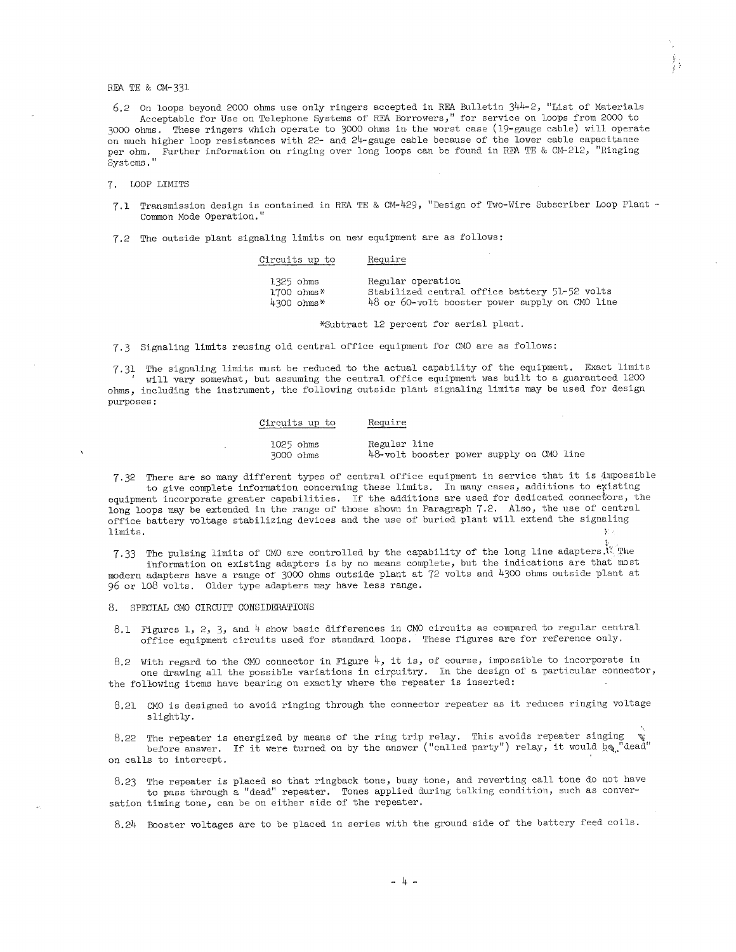6.2 On loops beyond 2000 ohms use only ringers accepted in REA Bulletin  $344-2$ , "List of Materials Acceptable for Use on Telephone Systems of REA Borrowers," for service on loops from 2000 to 3000 ohms. These ringers which operate to 3000 ohms in the worst case (19-gauge cable) will operate on much higher loop resistances with 22- and 24-gauge cable because of the lower cable capacitance per ohm. Further information on ringing over long loops can be found in REA TE & CM-212, "Ringing Systems,"

7 . LOOP LIMITS

7.1 Transmission design is contained in REA TE & CM-429, "Design of Two-Wire Subscriber Loop Plant -Common Mode Operation."

7,2 The outside plant signaling limits on new equipment are as follows:

| Circuits up to       | Require                                        |
|----------------------|------------------------------------------------|
| 1325 ohms            | Regular operation                              |
| $1700$ ohms*         | Stabilized central office battery 51-52 volts  |
| $4300 \text{ ohms*}$ | 48 or 60-volt booster power supply on CMO line |

\*Subtract 12 percent for aerial plant.

7.3 Signaling limits reusing old central office equipment for CMO are as follows:

7.31 The signaling limits must be reduced to the actual capability of the equipment, Exact limits will vary somewhat, but assuming the central office equipment was built to a guaranteed 1200 ohms, including the instrument, the following outside plant signaling limits may be used for design purposes:

| Circuits up to         | Require      |                                          |  |  |  |
|------------------------|--------------|------------------------------------------|--|--|--|
| 1025 ohms<br>3000 ohms | Regular line | 48-volt booster power supply on CMO line |  |  |  |

7, 32 There are so many different types of central office equipment in service that it is ;impossible to give complete information concerning these limits. In many cases, additions to existing equipment incorporate greater capabilities. If the additions are used for dedicated connectors, the

long loops may be extended in the range of those shown in Paragraph 7.2. Also, the use of central office battery voltage stabilizing devices and the use of buried plant will extend the signaling limits. - Stor ,.

7.33 The pulsing limits of CMO are controlled by the capability of the long line adapters.<sup>1</sup>. The information on existing adapters is by no means complete, but the indications are that most modern adapters have a range of 3000 ohms outside plant at 72 volts and 4300 ohms outside plant at 96 or 108 volts. Older type adapters may have less range.

8. SPECIAL GMO CIRCUIT CONSIDERATIONS

8.1 Figures 1, 2, 3, and 4 show basic differences in GMO circuits as compared to regular central office equipment circuits used for standard loops. These figures are for reference only.

8.2 With regard to the CMO connector in Figure 4, it is, of course, impossible to incorporate in one drawing all the possible variations in circuitry. In the design of a particular connector, the following items have bearing on exactly where the repeater is inserted:

8.21 GMO is designed to avoid ringing through the connector repeater as it reduces ringing voltage slightly.

8.22 The repeater is energized by means of the ring trip relay. This avoids repeater singing before answer. If it were turned on by the answer ("called party") relay, it would  $\log$ , dead" on calls to intercept,

8.23 The repeater is placed so that ringback tone, busy tone, and reverting call tone do not have to pass through a "dead" repeater. Tones applied during talking condition, such as conversation timing tone, can be on either side of the repeater.

8.24 Booster voltages are to be placed in series with the ground side of the battery feed coils.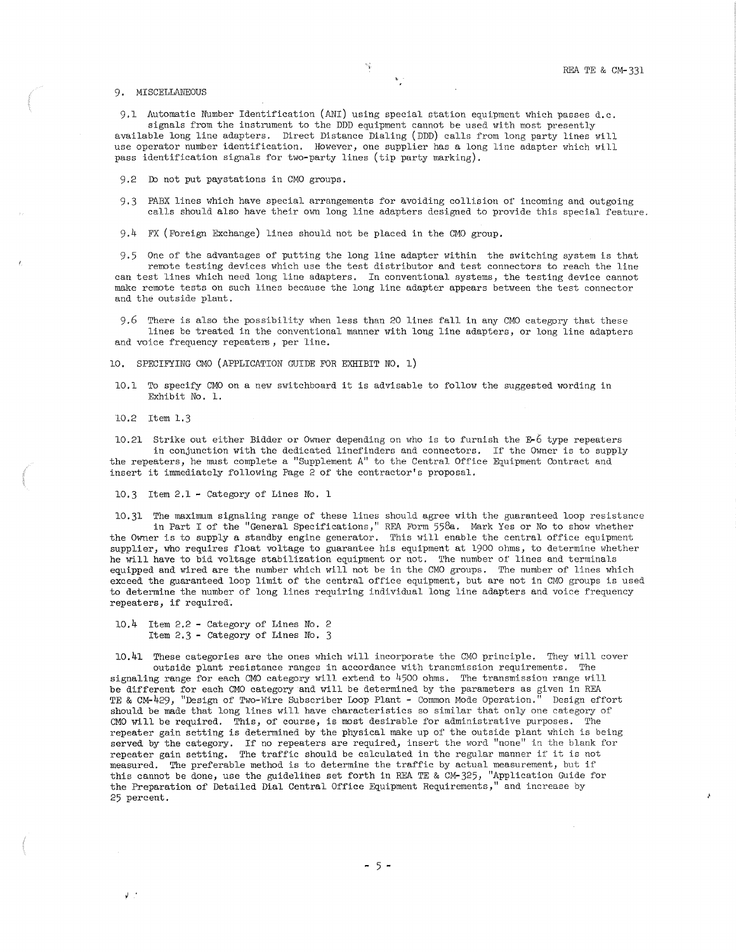## 9, MISCELLANEOUS

9,1 Automatic Number Identification (ANI) using special station equipment which passes d.c. signals from the instrument to the DDD equipment cannot be used with most presently available long line adapters. Direct Distance Dialing (DDD) calls from long party lines will use operator number identification. However, one supplier has a long line adapter which will pass identification signals for two-party lines (tip party marking).

9,2 Ib not put paystations in CMO groups.

9,3 PABX lines which have special arrangements for avoiding collision of incoming and outgoing calls should also have their own long line adapters designed to provide this special feature.

9. 4 FX ( Foreign Exchange) lines should not be placed in the CMO group.

9,5 One of the advantages of putting the long line adapter within the switching system is that remote testing devices which use the test distributor and test connectors to reach the line

can test lines which need long line adapters. In conventional systems, the testing device cannot make remote tests on such lines because the long line adapter appears between the test connector and the outside plant.

9,6 There is also the possibility when less than 20 lines fall in any CMO category that these lines be treated in the conventional manner with long line adapters, or long line adapters and voice frequency repeaters, per line.

10. SPECIFYING CMO (APPLICATION GUIDE FOR EXHIBIT NO, 1)

10, 1 To specify CMO on a new switchboard it is advisable to follow the suggested wording in Exhibit No. 1.

10.2 Item 1.3

 $J$ .

10.21 Strike out either Bidder or Owner depending on who is to furnish the E-6 type repeaters in conjunction with the dedicated linefinders and connectors. If the Owner is to supply the repeaters, he nmst complete a "Supplement A" to the Central Office Equipment Contract and insert it immediately following Page 2 of the contractor's proposal.

10,3 Item 2.1 - Category of Lines No. 1

10.31 The maximum signaling range of these lines should agree with the guaranteed loop resistan in Part I of the "General Specifications," REA Fbrm 558a. Mark Yes or No to show whether the Owner is to supply a standby engine generator. This will enable the central office equipment supplier, who requires float voltage to guarantee his equipment at 1900 ohms, to determine whether he will have to bid voltage stabilization equipment or not. The number of lines and terminals equipped and wired are the number which will not be in the CMO groups. The number of lines which exceed the guaranteed loop limit of the central office equipment, but are not in CMO groups is used to determine the number of long lines requiring individual long line adapters and voice frequency repeaters, if required.

10.4 Item 2.2 - Category of Lines No. 2 Item 2.3 - Category of Lines No. 3

10.41 These categories are the ones which will incorporate the CMO principle. They will cover outside plant resistance ranges in accordance with transmission requirements. The signaling range for each CMO category will extend to 4500 ohms. The transmission range will be different for each CMO category and will be determined by the parameters as given in REA<br>TE & CM-429. "Design of Two-Wire Subscriber Loop Plant - Common Mode Operation." Design effort TE & CM-429, "Design of Two-Wire Subscriber Loop Plant - Common Mode Operation." should be made that long lines will have characteristics so similar that only one category of CMO will be required. This, of course, is most desirable for administrative purposes. The repeater gain setting is determined by the physical make up of the outside plant which is being served by the category. If no repeaters are required, insert the word "none" in the blank for repeater gain setting. The traffic should be calculated in the regular manner if it is not measured. The preferable method is to determine the traffic by actual measurement, but if this cannot be done, use the guidelines set forth in REA TE & CM-325, "Application Guide for the Preparation of Detailed Dial Central Office Equipment Requirements," and increase by 25 percent.

 $-5 -$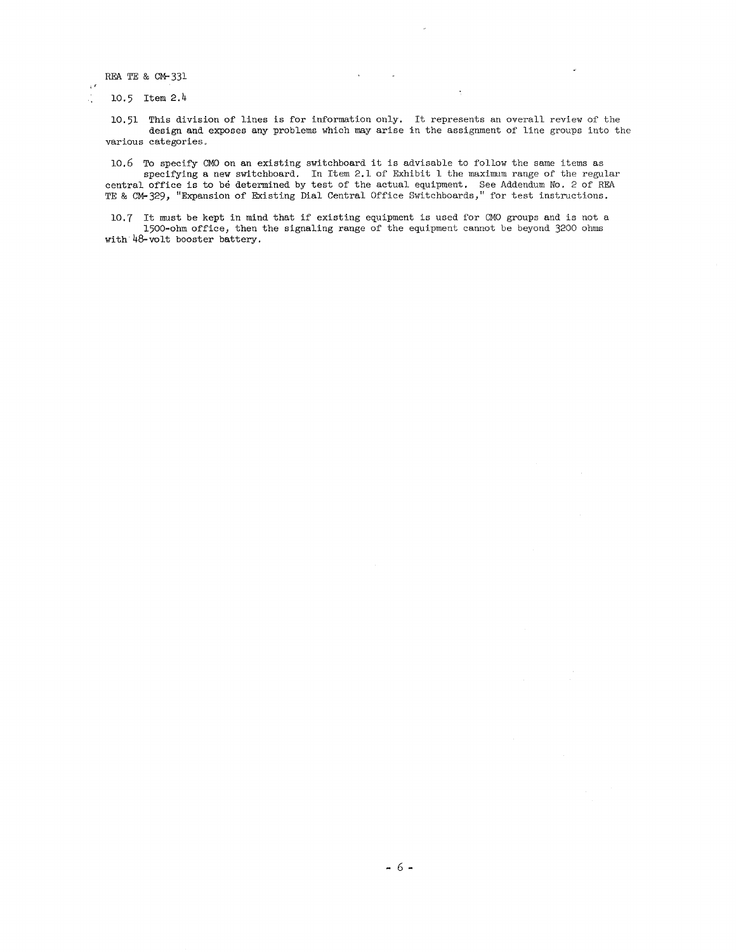$\tau$ J.

10.5 Item 2.4

10.51 This division of lines is for information only. It represents an overall review of the design and exposes any problems which may arise in the assignment of line groups into the various categories,

10.6 To specify GMO on an existing switchboard it is advisable to follow the same items as specifying a new switchboard. In Item 2.1 of Exhibit 1 the maximum range of the regular central office is to be determined by test of the actual equipment. See Addendum No. 2 of REA TE & CM-329, "Expansion of Existing Dial Central Office Switchboards," for test instructions.

10. 7 It must be kept in mind that if existing equipment is used for CMO groups and is not a 1500-ohm office, then the signaling range of the equipment cannot be beyond 3200 ohms with 48-volt booster battery.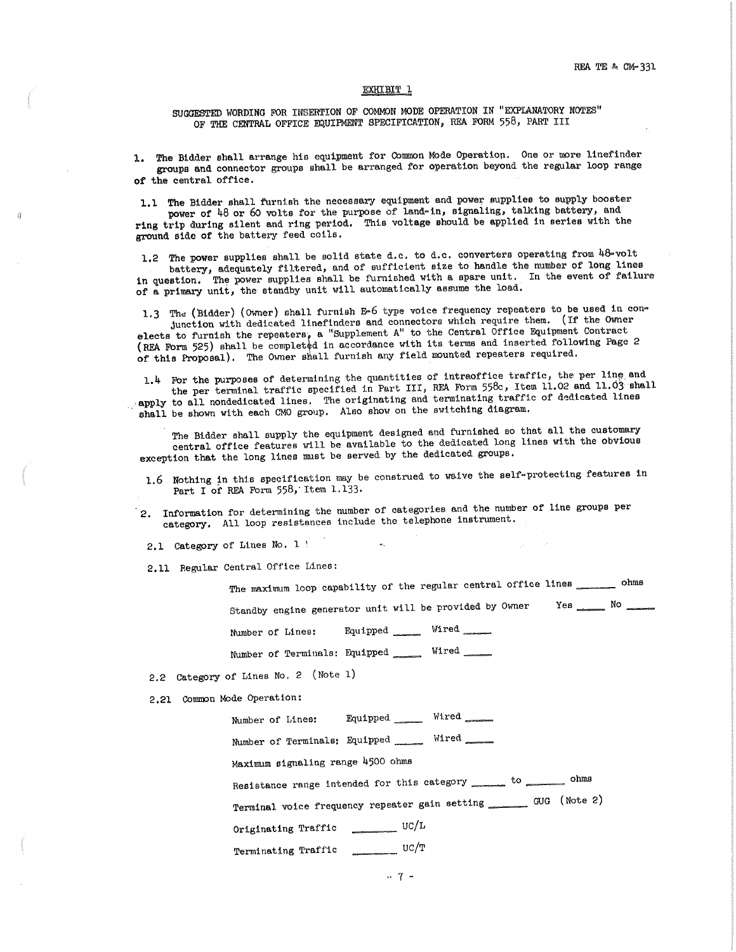#### EXHIBIT l

SUGGESTED WORDING FOR INSERTION OF COMMON MODE OPERATION IN "EXPLANATORY NOTES" OF THE CENTRAL OFFICE EQUIPMENT SPECIFICATION, REA FORM 558, PART III

l. The Bidder shall arrange hio equipment for Common Mode Operation. One or more linefinder groups and connector groups shall be arranged for operation beyond the regular loop range of the central office.

1,1 The Bidder shall furnish the necessary equipment and power supplies to supply booster power of 48 or 60 volts for the purpose of land-in, signaling, talking battery, and ring trip during silent and ring period. This voltage should be applied in series with the ground side of the battery feed coils.

1.2 The power supplies shall be solid state d.c. to d.c. converters operating from 48-volt battery, adequately filtered, and of sufficient size to handle the number of long lines in question. The power supplies shall be furnished with a spare unit. In the event of failure of a primary unit, the standby unit will automatically assume the load.

1.3 The (Bidder) (Owner) shall furnish E-6 type voice frequency repeaters to be used in conjunction with dedicated linefinders and connectors which require them. (If the Owner

elects to furnish the repeaters, a "Supplement A" to the Central Office Equipment Contract (REA Form 525) shall be completed in accordance with its terms and inserted following Page 2 of this Proposal). The Owner shall furnish any field mounted repeaters required.

For the purposes of determining the quantities of intraoffice traffic, the per line and the per terminal traffic specified in Part III, REA Form 558c, Item 11,02 and 11,03 shall apply to all nondedicated lines. The originating and terminating traffic of dedicated lines shall be shown with each CMO group. Also show on the switching diagram.

The Bidder shall supply the equipment designed and furnished so that all the customary central office features will be available to the dedicated long lines with the obvious exception that the long lines must be served by the dedicated groups.

1.6 Nothing in this specification may be construed to waive the self-protecting features in Part I of REA Form 558, Item 1.133.

2. Information for determining the number of categories and the number of line groups per category. All loop resistances include the telephone instrument.

2,1 Category of Lines No, l'

2,11 Regular Central Office Lines:

The maximum loop capability of the regular central office lines \_\_\_\_\_\_\_ ohms Standby engine generator unit will be provided by Owner . Yes we have  $\mathbb{N}$ 

Number of Lines: Equipped Wired

Number of Terminals: Equipped \_\_\_\_ Wired

2.2 Category of Lines No. 2 (Note 1)

2.21 Common Mode Operation:

Number of Linea: Equipped \_\_ Wired

Number of Terminals: Equipped \_\_ Wired

Maximum signaling range 4500 ohms

Resistance range intended for this category \_\_\_\_\_ to \_\_\_\_\_\_\_ ohms

Terminal voice frequency repeater gain setting \_\_\_\_\_\_\_\_ GUG (Note 2)

Originating Traffic \_\_\_\_\_\_\_\_\_ UC/L

Terminating Traffic uc/T

.. 7 -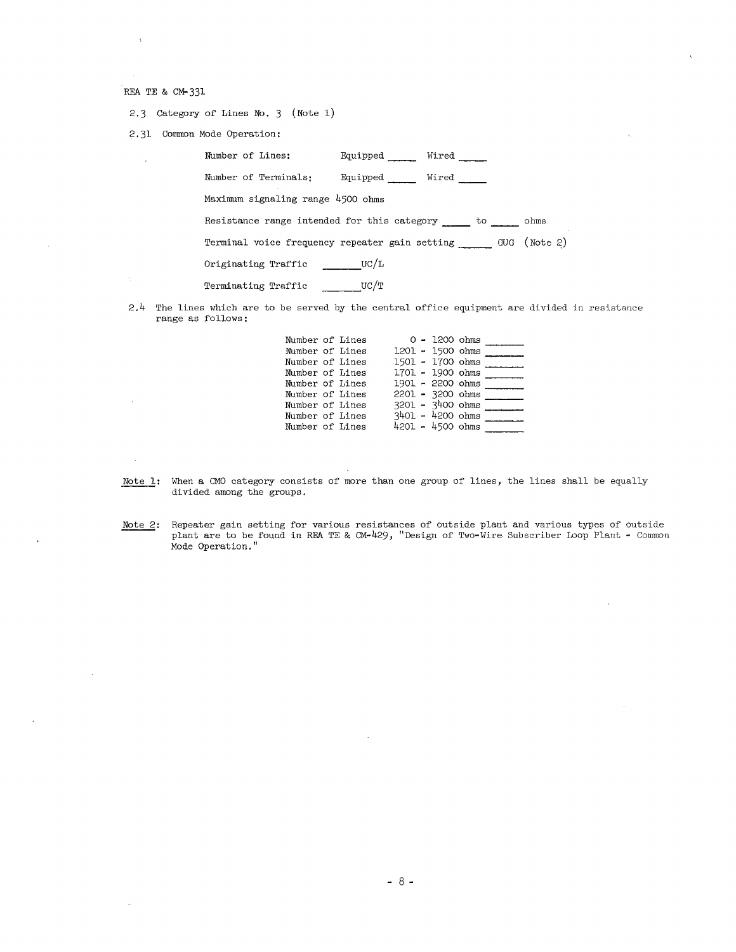$\lambda$ 

 $\sim$ 

 $\sim$ 

 $\sim$ 

2.3 Category of Lines No. 3 (Note 1)

2.31 Connnon Mode Operation:

| Number of Lines:                                            | Equipped | Wired |      |
|-------------------------------------------------------------|----------|-------|------|
| Number of Terminals:                                        | Equipped | Wired |      |
| Maximum signaling range 4500 ohms                           |          |       |      |
| Resistance range intended for this category to              |          |       | ohms |
| Terminal voice frequency repeater gain setting GUG (Note 2) |          |       |      |
| Originating Traffic ________ UC/L                           |          |       |      |
| Terminating Traffic                                         | UC/T     |       |      |

2.4 The lines which are to be served by the central office equipment are divided in resistance range as follows:

| Number of Lines |  |                    | $0 - 1200$ ohms |  |
|-----------------|--|--------------------|-----------------|--|
| Number of Lines |  | 1201 - 1500 ohms   |                 |  |
| Number of Lines |  | 1501 - 1700 ohms   |                 |  |
| Number of Lines |  | 1701 - 1900 ohms   |                 |  |
| Number of Lines |  | 1901 - 2200 ohms   |                 |  |
| Number of Lines |  | 2201 - 3200 ohms   |                 |  |
| Number of Lines |  | $3201 - 3400$ ohms |                 |  |
| Number of Lines |  | $3401 - 4200$ ohms |                 |  |
| Number of Lines |  | $4201 - 4500$ ohms |                 |  |

- Note 1: When a CMO category consists of more than one group of lines, the lines shall be equally divided among the groups,
- Note 2: Repeater gain setting for various resistances of outside plant and various types of outside Repeater gain setting for various resistances of outside plant and various types of outside plant **are** to be found in REA TE & CM-429, "Design of Two-Wire. Subscriber Loop Plant - Common Mode Operation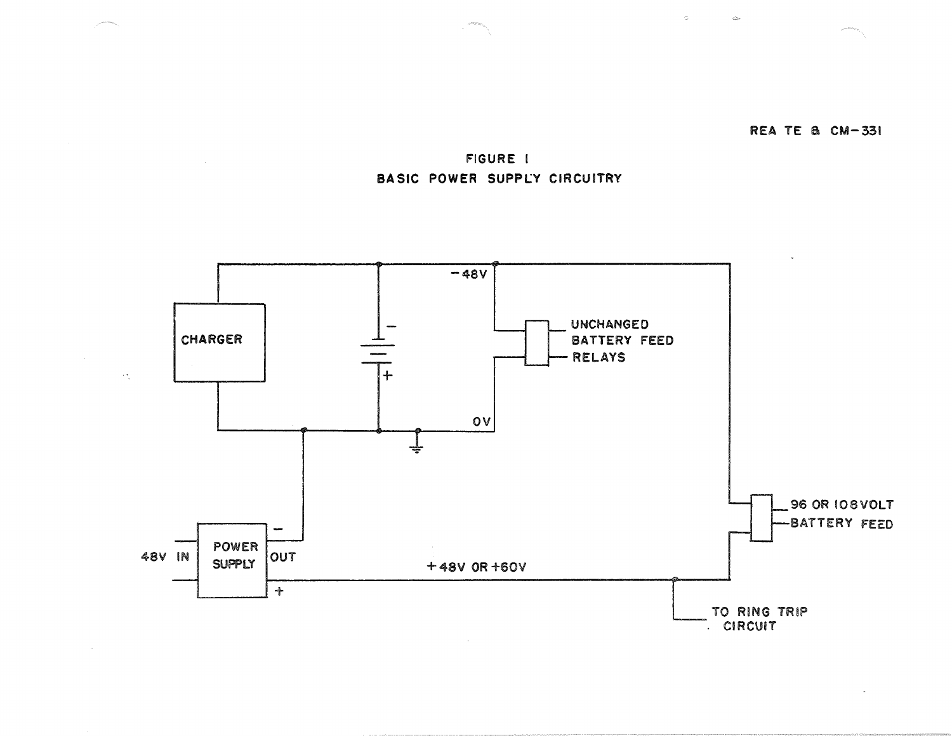

 $\sim$ 

 $\mathcal{Q}_{\text{lin}}^{\text{in}}$ 

FIGURE I BASIC POWER SUPPLY CIRCUITRY

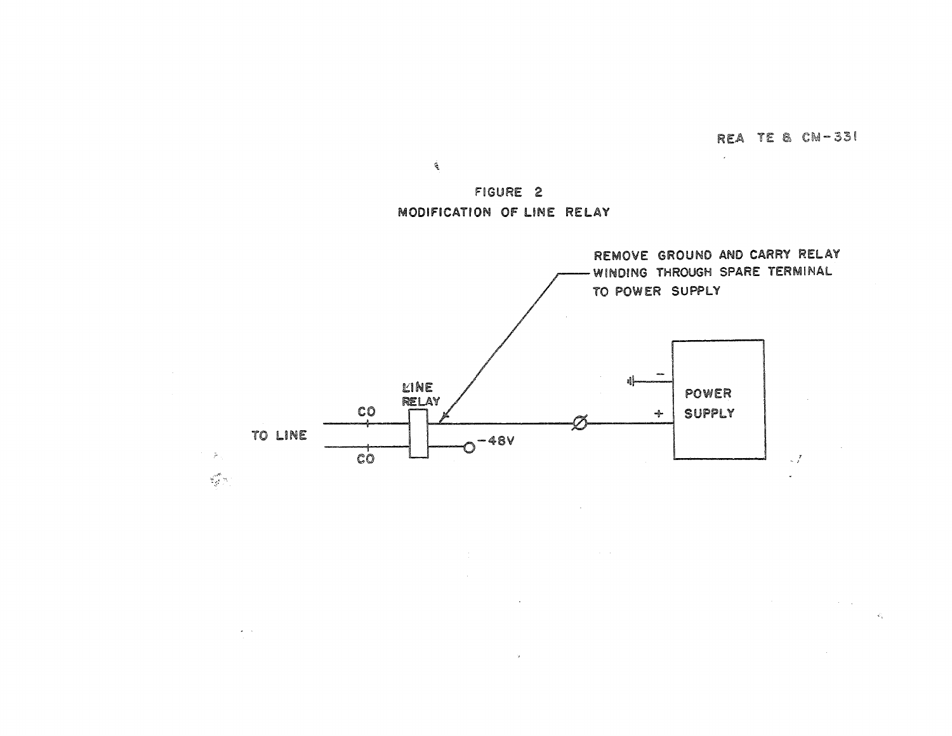$\mathcal{L}^{\text{max}}(\mathcal{A})$  . The  $\mathcal{L}^{\text{max}}$ 

 $\mathcal{L}_\mathrm{c}$ 

 $\sim$ 

FIGURE 2 MODIFICATION OF LINE RELAY

 $\hat{\mathcal{L}}$ 



 $\sim 10$ 

 $\sim 100$  km s  $^{-1}$  .

 $\omega = 1$  .

 $\sim 10^{-1}$  km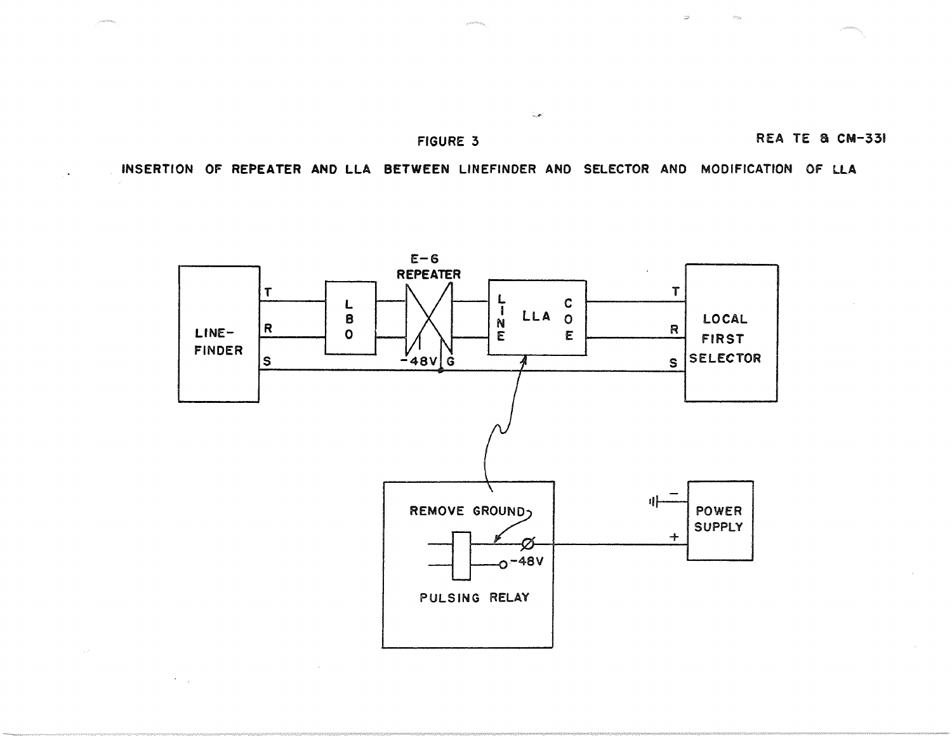# FIGURE 3 REA TE & CM-331

 $\mathcal{Z}^{\mathcal{G}}$ 

INSERTION OF REPEATER AND LLA BETWEEN LINEFINDER AND SELECTOR AND MODIFICATION OF LLA

المحررة



 $\mathcal{F}=\mathcal{F}$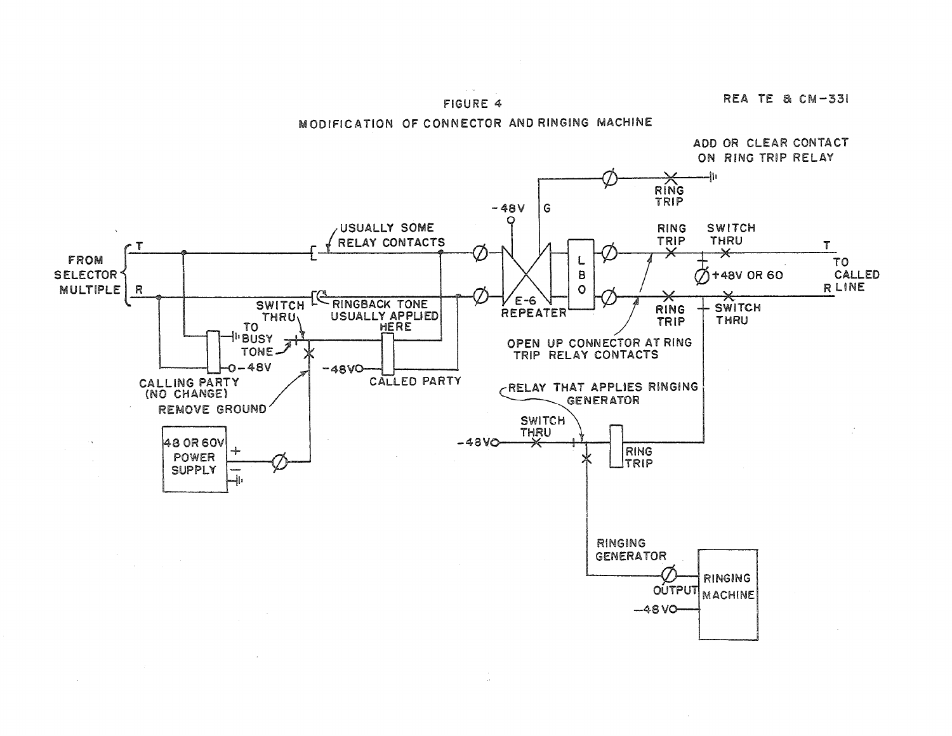## FIGURE 4

REA TE & CM-331